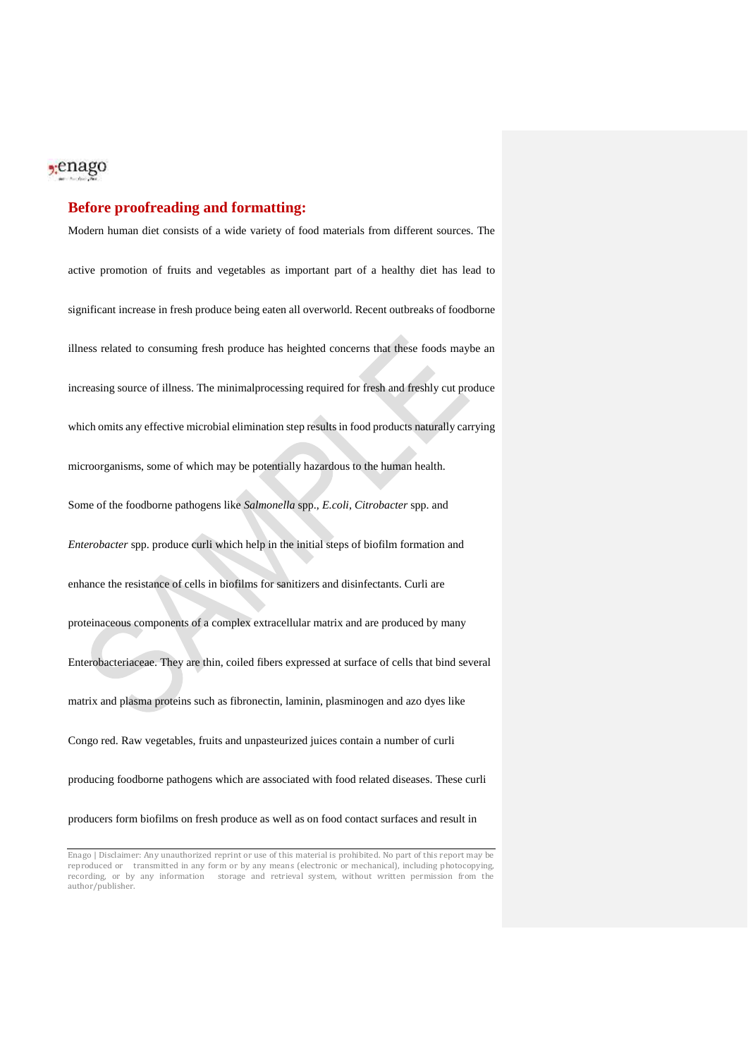## <sub>2</sub>enago

### **Before proofreading and formatting:**

Modern human diet consists of a wide variety of food materials from different sources. The active promotion of fruits and vegetables as important part of a healthy diet has lead to significant increase in fresh produce being eaten all overworld. Recent outbreaks of foodborne illness related to consuming fresh produce has heighted concerns that these foods maybe an increasing source of illness. The minimalprocessing required for fresh and freshly cut produce which omits any effective microbial elimination step results in food products naturally carrying microorganisms, some of which may be potentially hazardous to the human health. Some of the foodborne pathogens like *Salmonella* spp., *E.coli*, *Citrobacter* spp. and *Enterobacter* spp. produce curli which help in the initial steps of biofilm formation and enhance the resistance of cells in biofilms for sanitizers and disinfectants. Curli are proteinaceous components of a complex extracellular matrix and are produced by many Enterobacteriaceae. They are thin, coiled fibers expressed at surface of cells that bind several matrix and plasma proteins such as fibronectin, laminin, plasminogen and azo dyes like Congo red. Raw vegetables, fruits and unpasteurized juices contain a number of curli producing foodborne pathogens which are associated with food related diseases. These curli producers form biofilms on fresh produce as well as on food contact surfaces and result in

Enago | Disclaimer: Any unauthorized reprint or use of this material is prohibited. No part of this report may be reproduced or transmitted in any form or by any means (electronic or mechanical), including photocopying, recording, or by any information storage and retrieval system, without written permission from the author/publisher.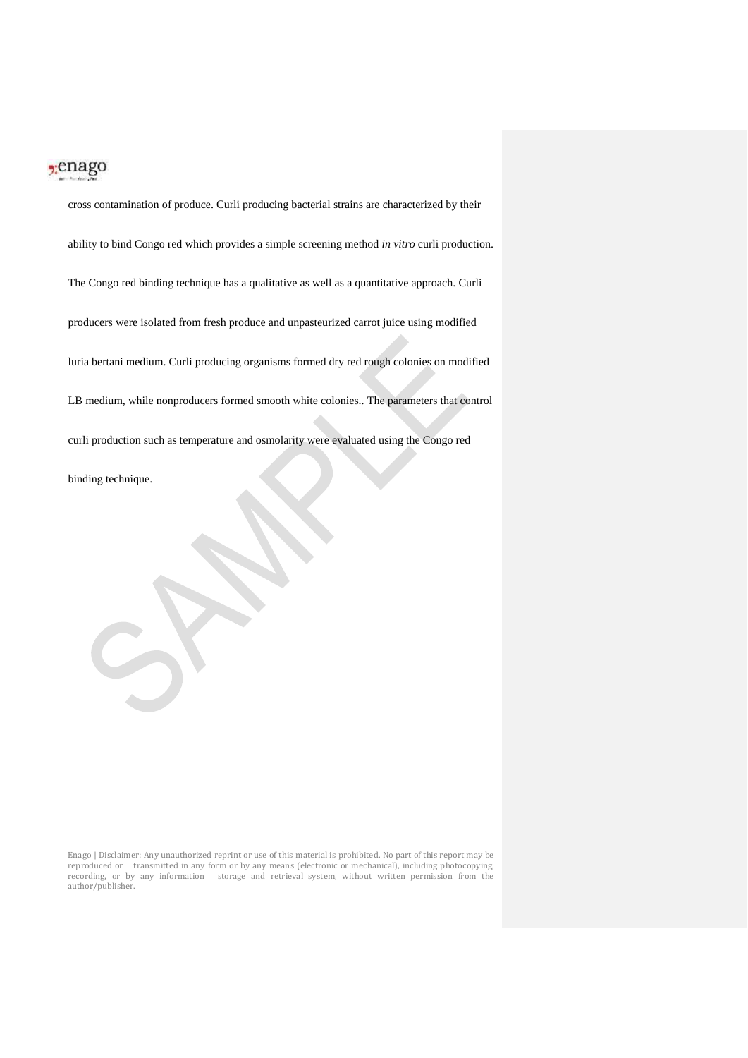## $2$ :enago

cross contamination of produce. Curli producing bacterial strains are characterized by their ability to bind Congo red which provides a simple screening method *in vitro* curli production. The Congo red binding technique has a qualitative as well as a quantitative approach. Curli producers were isolated from fresh produce and unpasteurized carrot juice using modified luria bertani medium. Curli producing organisms formed dry red rough colonies on modified LB medium, while nonproducers formed smooth white colonies.. The parameters that control curli production such as temperature and osmolarity were evaluated using the Congo red binding technique.

Enago | Disclaimer: Any unauthorized reprint or use of this material is prohibited. No part of this report may be reproduced or transmitted in any form or by any means (electronic or mechanical), including photocopying, recording, or by any information storage and retrieval system, without written permission from the author/publisher.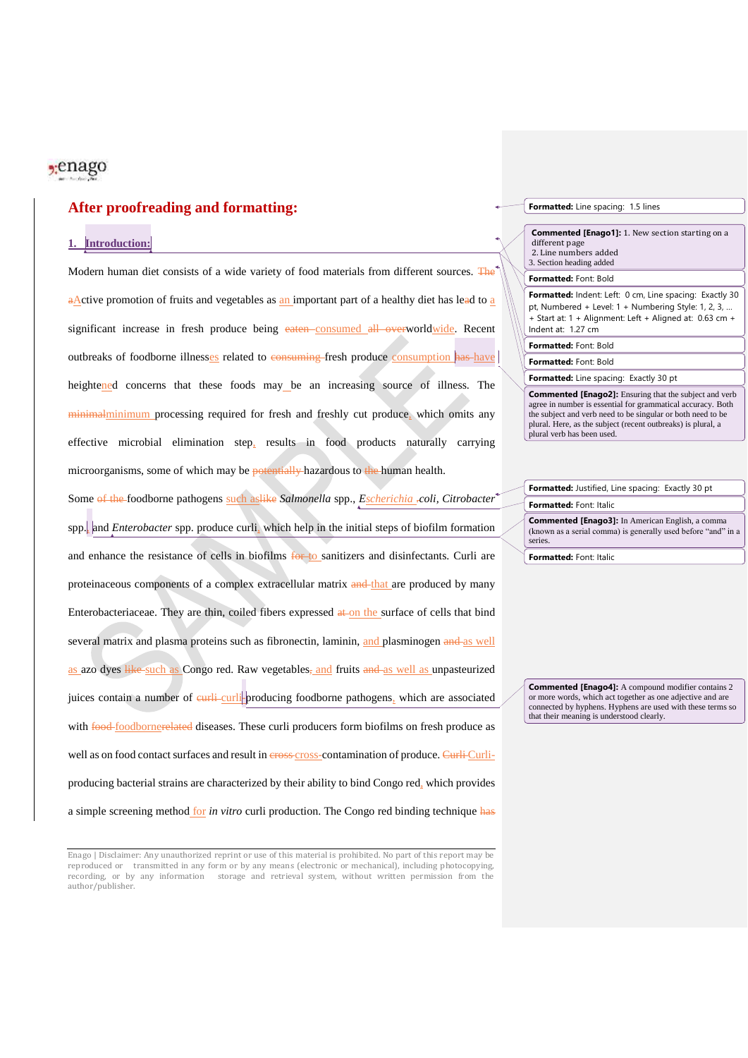### $2$ :enago

### **After proofreading and formatting:**

### **1. Introduction:**

Modern human diet consists of a wide variety of food materials from different sources. The aActive promotion of fruits and vegetables as an important part of a healthy diet has lead to a significant increase in fresh produce being eaten consumed all overworldwide. Recent outbreaks of foodborne illnesses related to consuming fresh produce consumption has have heightened concerns that these foods may be an increasing source of illness. The minimalminimum processing required for fresh and freshly cut produce, which omits any effective microbial elimination step, results in food products naturally carrying microorganisms, some of which may be potentially hazardous to the human health.

Some of the foodborne pathogens such aslike *Salmonella* spp., *Escherichia .coli, Citrobacter*<sup>2</sup> spp., and *Enterobacter* spp. produce curli, which help in the initial steps of biofilm formation and enhance the resistance of cells in biofilms for to sanitizers and disinfectants. Curli are proteinaceous components of a complex extracellular matrix and that are produced by many Enterobacteriaceae. They are thin, coiled fibers expressed at on the surface of cells that bind several matrix and plasma proteins such as fibronectin, laminin, and plasminogen and as well as azo dyes like such as Congo red. Raw vegetables, and fruits and as well as unpasteurized juices contain a number of eurli-curli-producing foodborne pathogens, which are associated with **food-**foodbornerelated diseases. These curli producers form biofilms on fresh produce as well as on food contact surfaces and result in eross-cross-contamination of produce. Curli-Curliproducing bacterial strains are characterized by their ability to bind Congo red, which provides a simple screening method for *in vitro* curli production. The Congo red binding technique has

#### **Formatted:** Line spacing: 1.5 lines

**Commented [Enago1]:** 1. New section starting on a different page

2. Line numbers added 3. Section heading added

### **Formatted:** Font: Bold

**Formatted:** Indent: Left: 0 cm, Line spacing: Exactly 30 pt, Numbered + Level: 1 + Numbering Style: 1, 2, 3, … + Start at: 1 + Alignment: Left + Aligned at: 0.63 cm + Indent at: 1.27 cm

#### **Formatted:** Font: Bold

**Formatted:** Font: Bold

#### **Formatted:** Line spacing: Exactly 30 pt

**Commented [Enago2]:** Ensuring that the subject and verb agree in number is essential for grammatical accuracy. Both the subject and verb need to be singular or both need to be plural. Here, as the subject (recent outbreaks) is plural, a plural verb has been used.

| Formatted: Justified, Line spacing: Exactly 30 pt                                                                                   |
|-------------------------------------------------------------------------------------------------------------------------------------|
| Formatted: Font: Italic                                                                                                             |
| <b>Commented [Enago3]:</b> In American English, a comma<br>(known as a serial comma) is generally used before "and" in a<br>series. |

**Formatted:** Font: Italic

**Commented [Enago4]:** A compound modifier contains 2 or more words, which act together as one adjective and are connected by hyphens. Hyphens are used with these terms so that their meaning is understood clearly.

Enago | Disclaimer: Any unauthorized reprint or use of this material is prohibited. No part of this report may be reproduced or transmitted in any form or by any means (electronic or mechanical), including photocopying, recording, or by any information storage and retrieval system, without written permission from the author/publisher.